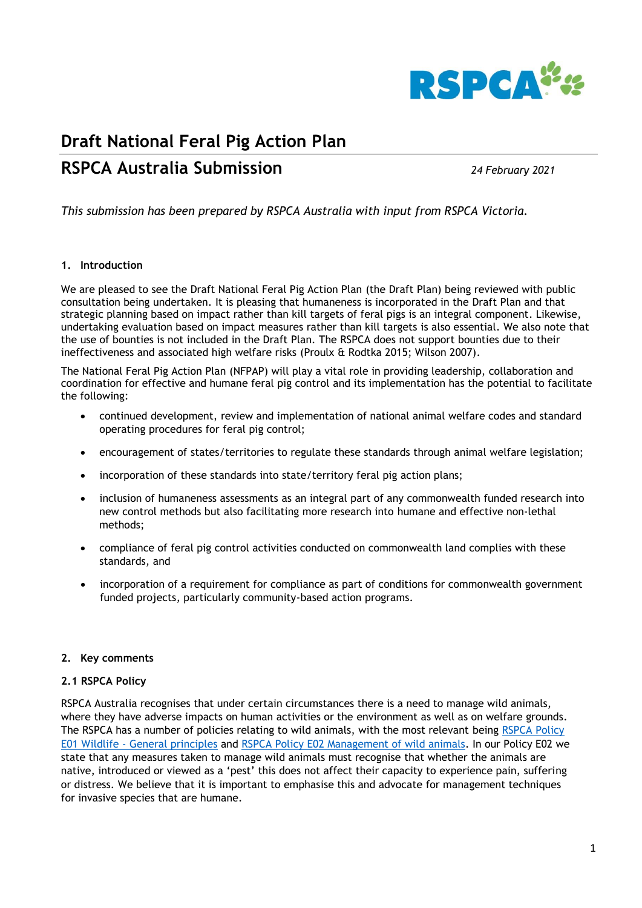

# **Draft National Feral Pig Action Plan**

# **RSPCA Australia Submission** *24 February 2021*

*This submission has been prepared by RSPCA Australia with input from RSPCA Victoria.* 

## **1. Introduction**

We are pleased to see the Draft National Feral Pig Action Plan (the Draft Plan) being reviewed with public consultation being undertaken. It is pleasing that humaneness is incorporated in the Draft Plan and that strategic planning based on impact rather than kill targets of feral pigs is an integral component. Likewise, undertaking evaluation based on impact measures rather than kill targets is also essential. We also note that the use of bounties is not included in the Draft Plan. The RSPCA does not support bounties due to their ineffectiveness and associated high welfare risks (Proulx & Rodtka 2015; Wilson 2007).

The National Feral Pig Action Plan (NFPAP) will play a vital role in providing leadership, collaboration and coordination for effective and humane feral pig control and its implementation has the potential to facilitate the following:

- continued development, review and implementation of national animal welfare codes and standard operating procedures for feral pig control;
- encouragement of states/territories to regulate these standards through animal welfare legislation;
- incorporation of these standards into state/territory feral pig action plans;
- inclusion of humaneness assessments as an integral part of any commonwealth funded research into new control methods but also facilitating more research into humane and effective non-lethal methods;
- compliance of feral pig control activities conducted on commonwealth land complies with these standards, and
- incorporation of a requirement for compliance as part of conditions for commonwealth government funded projects, particularly community-based action programs.

## **2. Key comments**

## **2.1 RSPCA Policy**

RSPCA Australia recognises that under certain circumstances there is a need to manage wild animals, where they have adverse impacts on human activities or the environment as well as on welfare grounds. The RSPCA has a number of policies relating to wild animals, with the most relevant being RSPCA Policy E01 Wildlife - [General principles](https://kb.rspca.org.au/rspca-policy-e01-wildlife-general-principles_421.html) and RSPCA Policy [E02 Management of wild animals.](https://kb.rspca.org.au/rspca-policy-e02-management-of-wild-animals_422.html) In our Policy E02 we state that any measures taken to manage wild animals must recognise that whether the animals are native, introduced or viewed as a 'pest' this does not affect their capacity to experience pain, suffering or distress. We believe that it is important to emphasise this and advocate for management techniques for invasive species that are humane.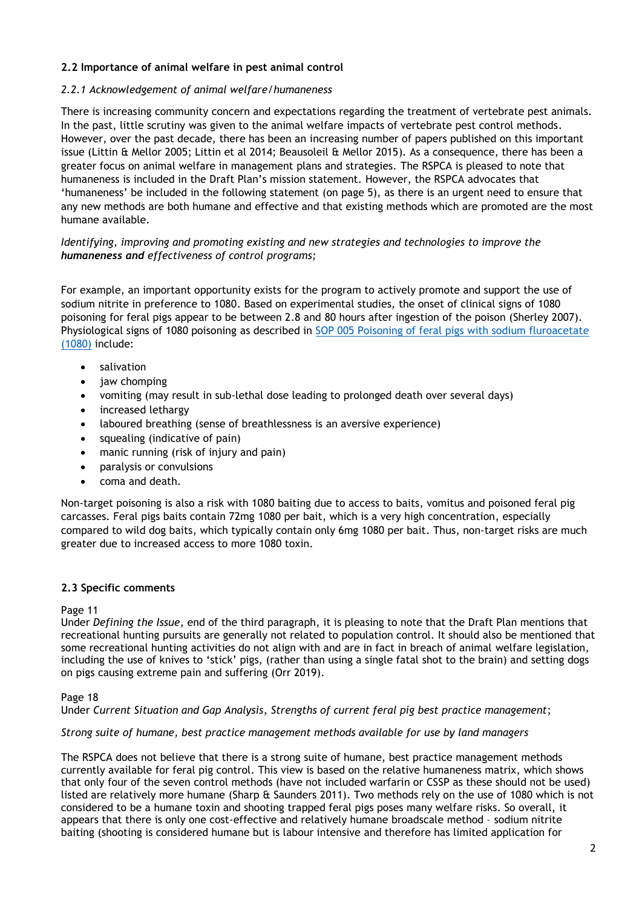# **2.2 Importance of animal welfare in pest animal control**

# *2.2.1 Acknowledgement of animal welfare/humaneness*

There is increasing community concern and expectations regarding the treatment of vertebrate pest animals. In the past, little scrutiny was given to the animal welfare impacts of vertebrate pest control methods. However, over the past decade, there has been an increasing number of papers published on this important issue (Littin & Mellor 2005; Littin et al 2014; Beausoleil & Mellor 2015). As a consequence, there has been a greater focus on animal welfare in management plans and strategies. The RSPCA is pleased to note that humaneness is included in the Draft Plan's mission statement. However, the RSPCA advocates that 'humaneness' be included in the following statement (on page 5), as there is an urgent need to ensure that any new methods are both humane and effective and that existing methods which are promoted are the most humane available.

# *Identifying, improving and promoting existing and new strategies and technologies to improve the humaneness and effectiveness of control programs;*

For example, an important opportunity exists for the program to actively promote and support the use of sodium nitrite in preference to 1080. Based on experimental studies, the onset of clinical signs of 1080 poisoning for feral pigs appear to be between 2.8 and 80 hours after ingestion of the poison (Sherley 2007). Physiological signs of 1080 poisoning as described in [SOP 005 Poisoning of feral pigs with sodium fluroacetate](https://pestsmart.org.au/toolkit-resource/poisoning-of-feral-pigs-with-sodium-fluroacetate-1080/)  [\(1080\)](https://pestsmart.org.au/toolkit-resource/poisoning-of-feral-pigs-with-sodium-fluroacetate-1080/) include:

- salivation
- **jaw chomping**
- vomiting (may result in sub-lethal dose leading to prolonged death over several days)
- increased lethargy
- laboured breathing (sense of breathlessness is an aversive experience)
- squealing (indicative of pain)
- manic running (risk of injury and pain)
- paralysis or convulsions
- coma and death.

Non-target poisoning is also a risk with 1080 baiting due to access to baits, vomitus and poisoned feral pig carcasses. Feral pigs baits contain 72mg 1080 per bait, which is a very high concentration, especially compared to wild dog baits, which typically contain only 6mg 1080 per bait. Thus, non-target risks are much greater due to increased access to more 1080 toxin.

## **2.3 Specific comments**

## Page 11

Under *Defining the Issue*, end of the third paragraph, it is pleasing to note that the Draft Plan mentions that recreational hunting pursuits are generally not related to population control. It should also be mentioned that some recreational hunting activities do not align with and are in fact in breach of animal welfare legislation, including the use of knives to 'stick' pigs, (rather than using a single fatal shot to the brain) and setting dogs on pigs causing extreme pain and suffering (Orr 2019).

## Page 18

## Under *Current Situation and Gap Analysis*, *Strengths of current feral pig best practice management*;

## *Strong suite of humane, best practice management methods available for use by land managers*

The RSPCA does not believe that there is a strong suite of humane, best practice management methods currently available for feral pig control. This view is based on the relative humaneness matrix, which shows that only four of the seven control methods (have not included warfarin or CSSP as these should not be used) listed are relatively more humane (Sharp & Saunders 2011). Two methods rely on the use of 1080 which is not considered to be a humane toxin and shooting trapped feral pigs poses many welfare risks. So overall, it appears that there is only one cost-effective and relatively humane broadscale method – sodium nitrite baiting (shooting is considered humane but is labour intensive and therefore has limited application for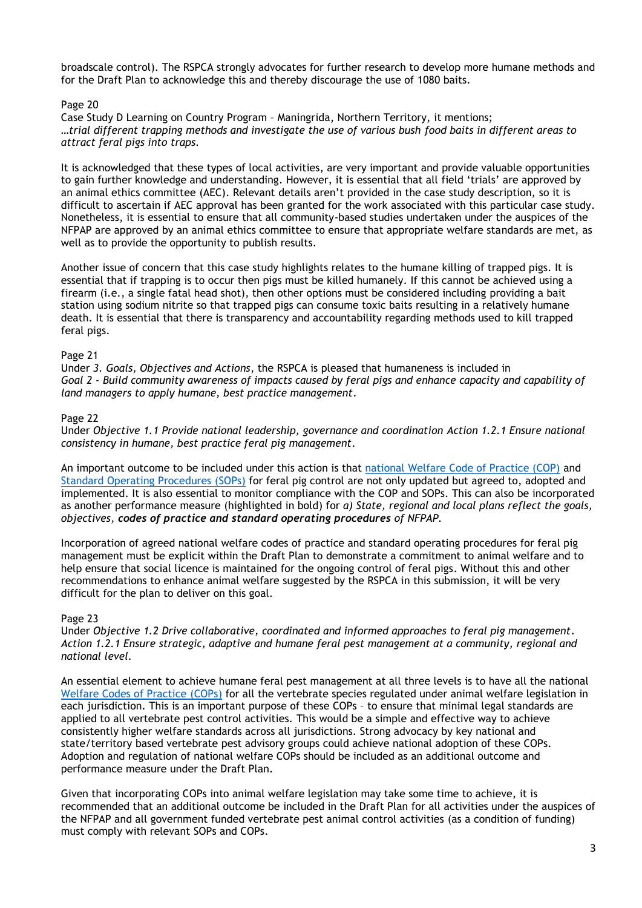broadscale control). The RSPCA strongly advocates for further research to develop more humane methods and for the Draft Plan to acknowledge this and thereby discourage the use of 1080 baits.

# Page 20

Case Study D Learning on Country Program – Maningrida, Northern Territory, it mentions; *…trial different trapping methods and investigate the use of various bush food baits in different areas to attract feral pigs into traps.*

It is acknowledged that these types of local activities, are very important and provide valuable opportunities to gain further knowledge and understanding. However, it is essential that all field 'trials' are approved by an animal ethics committee (AEC). Relevant details aren't provided in the case study description, so it is difficult to ascertain if AEC approval has been granted for the work associated with this particular case study. Nonetheless, it is essential to ensure that all community-based studies undertaken under the auspices of the NFPAP are approved by an animal ethics committee to ensure that appropriate welfare standards are met, as well as to provide the opportunity to publish results.

Another issue of concern that this case study highlights relates to the humane killing of trapped pigs. It is essential that if trapping is to occur then pigs must be killed humanely. If this cannot be achieved using a firearm (i.e., a single fatal head shot), then other options must be considered including providing a bait station using sodium nitrite so that trapped pigs can consume toxic baits resulting in a relatively humane death. It is essential that there is transparency and accountability regarding methods used to kill trapped feral pigs.

# Page 21

Under *3. Goals, Objectives and Actions*, the RSPCA is pleased that humaneness is included in *Goal 2 - Build community awareness of impacts caused by feral pigs and enhance capacity and capability of land managers to apply humane, best practice management*.

# Page 22

Under *Objective 1.1 Provide national leadership, governance and coordination Action 1.2.1 Ensure national consistency in humane, best practice feral pig management*.

An important outcome to be included under this action is that [national Welfare Code of Practice \(COP\)](https://pestsmart.org.au/toolkit-resource/code-of-practice-feral-pigs/) and [Standard Operating Procedures \(SOPs\)](https://pestsmart.org.au/toolkit-resource/evaluate-and-modify-your-feral-pig-plan/) for feral pig control are not only updated but agreed to, adopted and implemented. It is also essential to monitor compliance with the COP and SOPs. This can also be incorporated as another performance measure (highlighted in bold) for *a) State, regional and local plans reflect the goals, objectives, codes of practice and standard operating procedures of NFPAP.*

Incorporation of agreed national welfare codes of practice and standard operating procedures for feral pig management must be explicit within the Draft Plan to demonstrate a commitment to animal welfare and to help ensure that social licence is maintained for the ongoing control of feral pigs. Without this and other recommendations to enhance animal welfare suggested by the RSPCA in this submission, it will be very difficult for the plan to deliver on this goal.

# Page 23

Under *Objective 1.2 Drive collaborative, coordinated and informed approaches to feral pig management. Action 1.2.1 Ensure strategic, adaptive and humane feral pest management at a community, regional and national level.*

An essential element to achieve humane feral pest management at all three levels is to have all the national [Welfare Codes of Practice](https://pestsmart.org.au/toolkit-resource/trapping-of-feral-pigs/) (COPs) for all the vertebrate species regulated under animal welfare legislation in each jurisdiction. This is an important purpose of these COPs – to ensure that minimal legal standards are applied to all vertebrate pest control activities. This would be a simple and effective way to achieve consistently higher welfare standards across all jurisdictions. Strong advocacy by key national and state/territory based vertebrate pest advisory groups could achieve national adoption of these COPs. Adoption and regulation of national welfare COPs should be included as an additional outcome and performance measure under the Draft Plan.

Given that incorporating COPs into animal welfare legislation may take some time to achieve, it is recommended that an additional outcome be included in the Draft Plan for all activities under the auspices of the NFPAP and all government funded vertebrate pest animal control activities (as a condition of funding) must comply with relevant SOPs and COPs.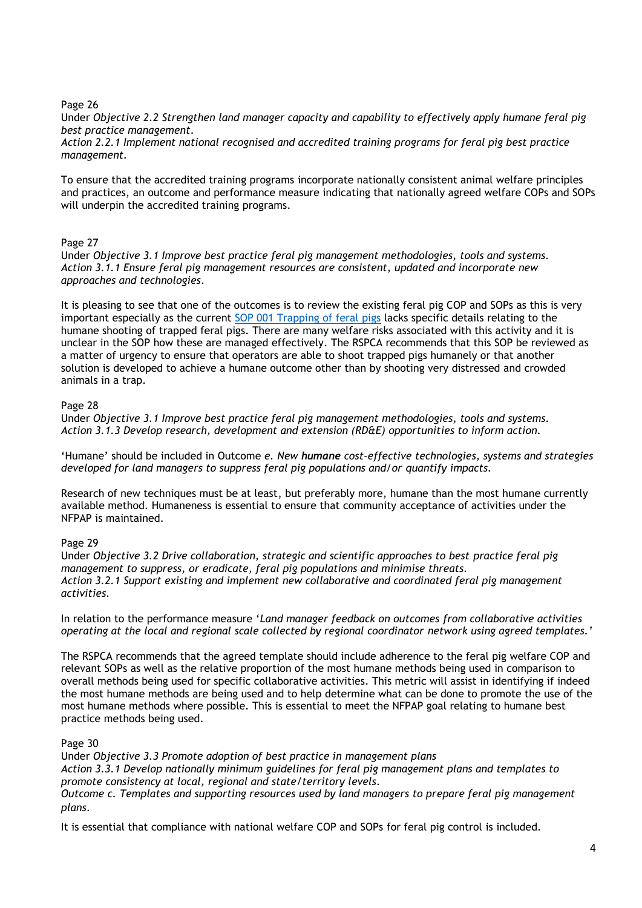Page 26

Under *Objective 2.2 Strengthen land manager capacity and capability to effectively apply humane feral pig best practice management.*

*Action 2.2.1 Implement national recognised and accredited training programs for feral pig best practice management.*

To ensure that the accredited training programs incorporate nationally consistent animal welfare principles and practices, an outcome and performance measure indicating that nationally agreed welfare COPs and SOPs will underpin the accredited training programs.

# Page 27

Under *Objective 3.1 Improve best practice feral pig management methodologies, tools and systems. Action 3.1.1 Ensure feral pig management resources are consistent, updated and incorporate new approaches and technologies.*

It is pleasing to see that one of the outcomes is to review the existing feral pig COP and SOPs as this is very important especially as the current [SOP 001 Trapping of feral pigs](https://pestsmart.org.au/toolkit-resource/trapping-of-feral-pigs/) lacks specific details relating to the humane shooting of trapped feral pigs. There are many welfare risks associated with this activity and it is unclear in the SOP how these are managed effectively. The RSPCA recommends that this SOP be reviewed as a matter of urgency to ensure that operators are able to shoot trapped pigs humanely or that another solution is developed to achieve a humane outcome other than by shooting very distressed and crowded animals in a trap.

# Page 28

Under *Objective 3.1 Improve best practice feral pig management methodologies, tools and systems. Action 3.1.3 Develop research, development and extension (RD&E) opportunities to inform action.*

'Humane' should be included in Outcome *e. New humane cost-effective technologies, systems and strategies developed for land managers to suppress feral pig populations and/or quantify impacts.*

Research of new techniques must be at least, but preferably more, humane than the most humane currently available method. Humaneness is essential to ensure that community acceptance of activities under the NFPAP is maintained.

# Page 29

Under *Objective 3.2 Drive collaboration, strategic and scientific approaches to best practice feral pig management to suppress, or eradicate, feral pig populations and minimise threats. Action 3.2.1 Support existing and implement new collaborative and coordinated feral pig management activities.*

In relation to the performance measure '*Land manager feedback on outcomes from collaborative activities operating at the local and regional scale collected by regional coordinator network using agreed templates.'*

The RSPCA recommends that the agreed template should include adherence to the feral pig welfare COP and relevant SOPs as well as the relative proportion of the most humane methods being used in comparison to overall methods being used for specific collaborative activities. This metric will assist in identifying if indeed the most humane methods are being used and to help determine what can be done to promote the use of the most humane methods where possible. This is essential to meet the NFPAP goal relating to humane best practice methods being used.

## Page 30

Under *Objective 3.3 Promote adoption of best practice in management plans Action 3.3.1 Develop nationally minimum guidelines for feral pig management plans and templates to promote consistency at local, regional and state/territory levels. Outcome c. Templates and supporting resources used by land managers to prepare feral pig management plans*.

It is essential that compliance with national welfare COP and SOPs for feral pig control is included.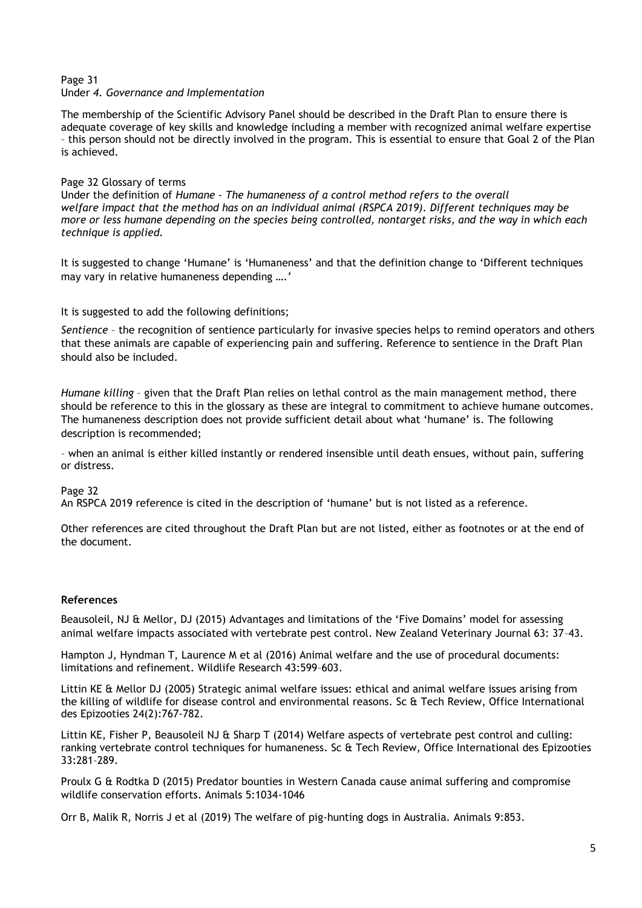#### Page 31 Under *4. Governance and Implementation*

The membership of the Scientific Advisory Panel should be described in the Draft Plan to ensure there is adequate coverage of key skills and knowledge including a member with recognized animal welfare expertise – this person should not be directly involved in the program. This is essential to ensure that Goal 2 of the Plan is achieved.

# Page 32 Glossary of terms

Under the definition of *Humane* - *The humaneness of a control method refers to the overall welfare impact that the method has on an individual animal (RSPCA 2019). Different techniques may be more or less humane depending on the species being controlled, nontarget risks, and the way in which each technique is applied.*

It is suggested to change 'Humane' is 'Humaneness' and that the definition change to 'Different techniques may vary in relative humaneness depending ….'

It is suggested to add the following definitions;

*Sentience* – the recognition of sentience particularly for invasive species helps to remind operators and others that these animals are capable of experiencing pain and suffering. Reference to sentience in the Draft Plan should also be included.

*Humane killing* – given that the Draft Plan relies on lethal control as the main management method, there should be reference to this in the glossary as these are integral to commitment to achieve humane outcomes. The humaneness description does not provide sufficient detail about what 'humane' is. The following description is recommended;

– when an animal is either killed instantly or rendered insensible until death ensues, without pain, suffering or distress.

## Page 32

An RSPCA 2019 reference is cited in the description of 'humane' but is not listed as a reference.

Other references are cited throughout the Draft Plan but are not listed, either as footnotes or at the end of the document.

## **References**

Beausoleil, NJ & Mellor, DJ (2015) Advantages and limitations of the 'Five Domains' model for assessing animal welfare impacts associated with vertebrate pest control. New Zealand Veterinary Journal 63: 37–43.

Hampton J, Hyndman T, Laurence M et al (2016) Animal welfare and the use of procedural documents: limitations and refinement. Wildlife Research 43:599–603.

Littin KE & Mellor DJ (2005) Strategic animal welfare issues: ethical and animal welfare issues arising from the killing of wildlife for disease control and environmental reasons. Sc & Tech Review, Office International des Epizooties 24(2):767-782.

Littin KE, Fisher P, Beausoleil NJ & Sharp T (2014) Welfare aspects of vertebrate pest control and culling: ranking vertebrate control techniques for humaneness. Sc & Tech Review, Office International des Epizooties 33:281–289.

Proulx G & Rodtka D (2015) Predator bounties in Western Canada cause animal suffering and compromise wildlife conservation efforts. Animals 5:1034-1046

Orr B, Malik R, Norris J et al (2019) The welfare of pig-hunting dogs in Australia. Animals 9:853.